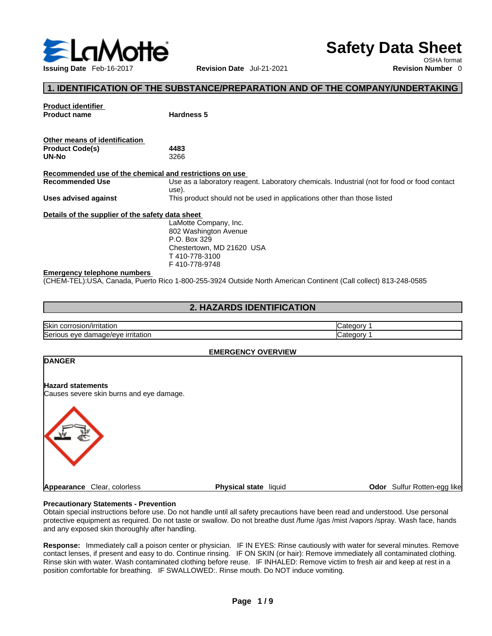

**Product identifier**

# **Safety Data Sheet**

OSHA format

## **1. IDENTIFICATION OF THE SUBSTANCE/PREPARATION AND OF THE COMPANY/UNDERTAKING**

| FIUUUUL IUCIILIIICI                                     |                                                                                             |
|---------------------------------------------------------|---------------------------------------------------------------------------------------------|
| <b>Product name</b>                                     | Hardness 5                                                                                  |
|                                                         |                                                                                             |
| Other means of identification                           |                                                                                             |
| <b>Product Code(s)</b>                                  | 4483                                                                                        |
| UN-No                                                   | 3266                                                                                        |
| Recommended use of the chemical and restrictions on use |                                                                                             |
| Recommended Use                                         | Use as a laboratory reagent. Laboratory chemicals. Industrial (not for food or food contact |
|                                                         | use).                                                                                       |
| Uses advised against                                    | This product should not be used in applications other than those listed                     |
| Details of the supplier of the safety data sheet        |                                                                                             |
|                                                         | LaMotte Company, Inc.                                                                       |
|                                                         | 802 Washington Avenue                                                                       |
|                                                         | P.O. Box 329                                                                                |
|                                                         | Chestertown, MD 21620 USA                                                                   |
|                                                         | T410-778-3100                                                                               |
|                                                         |                                                                                             |

F 410-778-9748

#### **Emergency telephone numbers**

(CHEM-TEL):USA, Canada, Puerto Rico 1-800-255-3924 Outside North American Continent (Call collect) 813-248-0585

## **2. HAZARDS IDENTIFICATION**

| Skin<br>osior،<br>JOH "<br>/irritation               |  |
|------------------------------------------------------|--|
| Seric<br>mage/eve<br><u>irritation</u><br>eve<br>aar |  |

#### **EMERGENCY OVERVIEW**



#### **Precautionary Statements - Prevention**

Obtain special instructions before use. Do not handle until all safety precautions have been read and understood. Use personal protective equipment as required. Do not taste or swallow. Do not breathe dust /fume /gas /mist /vapors /spray. Wash face, hands and any exposed skin thoroughly after handling.

Response: Immediately call a poison center or physician. IF IN EYES: Rinse cautiously with water for several minutes. Remove contact lenses, if present and easy to do. Continue rinsing. IF ON SKIN (or hair): Remove immediately all contaminated clothing. Rinse skin with water. Wash contaminated clothing before reuse. IF INHALED: Remove victim to fresh air and keep at rest in a position comfortable for breathing. IF SWALLOWED:. Rinse mouth. Do NOT induce vomiting.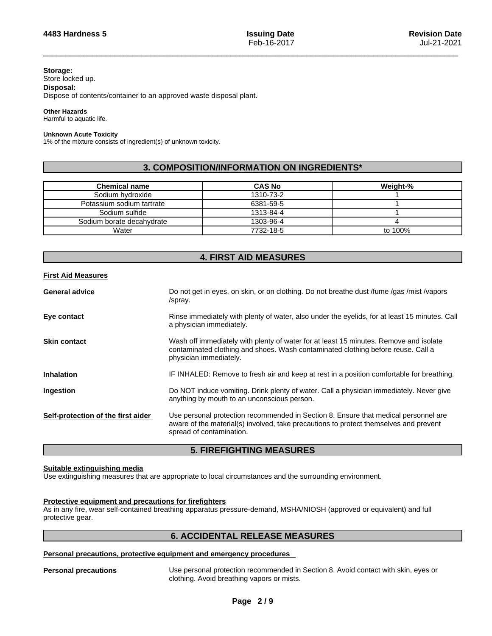#### **Storage:**

Store locked up.

## **Disposal:**

Dispose of contents/container to an approved waste disposal plant.

#### **Other Hazards**

Harmful to aquatic life.

#### **Unknown Acute Toxicity**

1% of the mixture consists of ingredient(s) of unknown toxicity.

## **3. COMPOSITION/INFORMATION ON INGREDIENTS\***

| <b>Chemical name</b>      | <b>CAS No</b> | Weight-% |
|---------------------------|---------------|----------|
| Sodium hydroxide          | 1310-73-2     |          |
| Potassium sodium tartrate | 6381-59-5     |          |
| Sodium sulfide            | 1313-84-4     |          |
| Sodium borate decahvdrate | 1303-96-4     |          |
| Water                     | 7732-18-5     | to 100%  |

## **4. FIRST AID MEASURES**

## **First Aid Measures**

| <b>General advice</b>              | Do not get in eyes, on skin, or on clothing. Do not breathe dust /fume /gas /mist /vapors<br>/spray.                                                                                                     |
|------------------------------------|----------------------------------------------------------------------------------------------------------------------------------------------------------------------------------------------------------|
| Eye contact                        | Rinse immediately with plenty of water, also under the eyelids, for at least 15 minutes. Call<br>a physician immediately.                                                                                |
| <b>Skin contact</b>                | Wash off immediately with plenty of water for at least 15 minutes. Remove and isolate<br>contaminated clothing and shoes. Wash contaminated clothing before reuse. Call a<br>physician immediately.      |
| <b>Inhalation</b>                  | IF INHALED: Remove to fresh air and keep at rest in a position comfortable for breathing.                                                                                                                |
| Ingestion                          | Do NOT induce vomiting. Drink plenty of water. Call a physician immediately. Never give<br>anything by mouth to an unconscious person.                                                                   |
| Self-protection of the first aider | Use personal protection recommended in Section 8. Ensure that medical personnel are<br>aware of the material(s) involved, take precautions to protect themselves and prevent<br>spread of contamination. |

## **5. FIREFIGHTING MEASURES**

## **Suitable extinguishing media**

Use extinguishing measures that are appropriate to local circumstances and the surrounding environment.

## **Protective equipment and precautions for firefighters**

As in any fire, wear self-contained breathing apparatus pressure-demand, MSHA/NIOSH (approved or equivalent) and full protective gear.

## **6. ACCIDENTAL RELEASE MEASURES**

#### **Personal precautions, protective equipment and emergency procedures**

**Personal precautions** Use personal protection recommended in Section 8. Avoid contact with skin, eyes or clothing. Avoid breathing vapors or mists.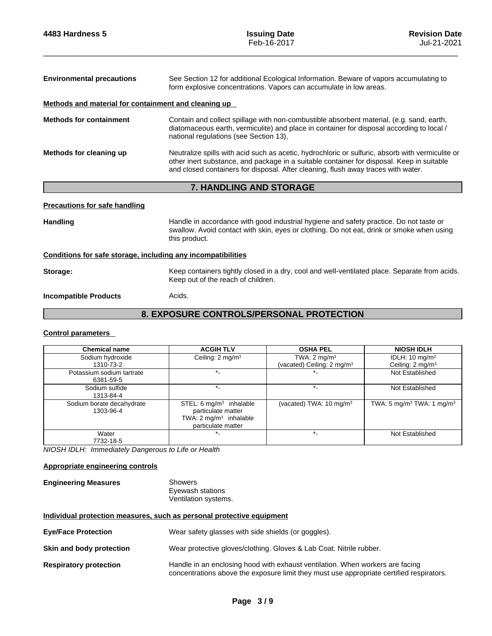| <b>Environmental precautions</b>                     | See Section 12 for additional Ecological Information. Beware of vapors accumulating to<br>form explosive concentrations. Vapors can accumulate in low areas.                                                                                                                       |  |  |
|------------------------------------------------------|------------------------------------------------------------------------------------------------------------------------------------------------------------------------------------------------------------------------------------------------------------------------------------|--|--|
| Methods and material for containment and cleaning up |                                                                                                                                                                                                                                                                                    |  |  |
| <b>Methods for containment</b>                       | Contain and collect spillage with non-combustible absorbent material, (e.g. sand, earth,<br>diatomaceous earth, vermiculite) and place in container for disposal according to local /<br>national regulations (see Section 13).                                                    |  |  |
| Methods for cleaning up                              | Neutralize spills with acid such as acetic, hydrochloric or sulfuric, absorb with vermiculite or<br>other inert substance, and package in a suitable container for disposal. Keep in suitable<br>and closed containers for disposal. After cleaning, flush away traces with water. |  |  |
|                                                      | 7. HANDLING AND STORAGE                                                                                                                                                                                                                                                            |  |  |
| <b>Precautions for safe handling</b>                 |                                                                                                                                                                                                                                                                                    |  |  |
| <b>Handling</b>                                      | Handle in accordance with good industrial hygiene and safety practice. Do not taste or<br>swallow. Avoid contact with skin, eyes or clothing. Do not eat, drink or smoke when using<br>this product.                                                                               |  |  |

## **Conditions for safe storage, including any incompatibilities**

Storage: **Storage:** Keep containers tightly closed in a dry, cool and well-ventilated place. Separate from acids. Keep out of the reach of children.

**Incompatible Products** Acids.

## **8. EXPOSURE CONTROLS/PERSONAL PROTECTION**

## **Control parameters**

| <b>Chemical name</b>                   | <b>ACGIH TLV</b>                                                                                                    | <b>OSHA PEL</b>                        | <b>NIOSH IDLH</b>                                 |
|----------------------------------------|---------------------------------------------------------------------------------------------------------------------|----------------------------------------|---------------------------------------------------|
| Sodium hydroxide                       | Ceiling: $2 \text{ mg/m}^3$                                                                                         | TWA: $2 \text{ mg/m}^3$                | IDLH: $10 \text{ mg/m}^3$                         |
| 1310-73-2                              |                                                                                                                     | (vacated) Ceiling: 2 mg/m <sup>3</sup> | Ceiling: 2 mg/m <sup>3</sup>                      |
| Potassium sodium tartrate<br>6381-59-5 |                                                                                                                     |                                        | Not Established                                   |
| Sodium sulfide<br>1313-84-4            |                                                                                                                     |                                        | Not Established                                   |
| Sodium borate decahydrate<br>1303-96-4 | STEL: $6 \text{ mg/m}^3$ inhalable<br>particulate matter<br>TWA: $2 \text{ mg/m}^3$ inhalable<br>particulate matter | (vacated) TWA: 10 mg/m <sup>3</sup>    | TWA: 5 mg/m <sup>3</sup> TWA: 1 mg/m <sup>3</sup> |
| Water<br>7732-18-5                     |                                                                                                                     |                                        | Not Established                                   |

*NIOSH IDLH: Immediately Dangerous to Life or Health* 

## **Appropriate engineering controls**

**Engineering Measures** Showers

Eyewash stations Ventilation systems.

## **Individual protection measures, such as personal protective equipment**

| <b>Eye/Face Protection</b>    | Wear safety glasses with side shields (or goggles).                                                                                                                       |
|-------------------------------|---------------------------------------------------------------------------------------------------------------------------------------------------------------------------|
| Skin and body protection      | Wear protective gloves/clothing. Gloves & Lab Coat. Nitrile rubber.                                                                                                       |
| <b>Respiratory protection</b> | Handle in an enclosing hood with exhaust ventilation. When workers are facing<br>concentrations above the exposure limit they must use appropriate certified respirators. |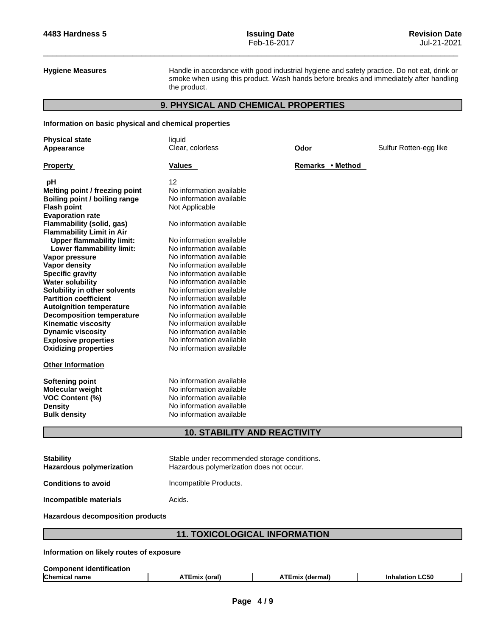**Hygiene Measures** Handle in accordance with good industrial hygiene and safety practice. Do not eat, drink or smoke when using this product. Wash hands before breaks and immediately after handling the product.

## **9. PHYSICAL AND CHEMICAL PROPERTIES**

## **Information on basic physical and chemical properties**

| <b>Physical state</b><br>Appearance  | liquid<br>Clear, colorless                  | Odor             | Sulfur Rotten-egg like |
|--------------------------------------|---------------------------------------------|------------------|------------------------|
| <b>Property</b>                      | Values                                      | Remarks • Method |                        |
| рH                                   | 12                                          |                  |                        |
| Melting point / freezing point       | No information available                    |                  |                        |
| <b>Boiling point / boiling range</b> | No information available                    |                  |                        |
| <b>Flash point</b>                   | Not Applicable                              |                  |                        |
| <b>Evaporation rate</b>              |                                             |                  |                        |
| Flammability (solid, gas)            | No information available                    |                  |                        |
| <b>Flammability Limit in Air</b>     |                                             |                  |                        |
| <b>Upper flammability limit:</b>     | No information available                    |                  |                        |
| Lower flammability limit:            | No information available                    |                  |                        |
| Vapor pressure                       | No information available                    |                  |                        |
| <b>Vapor density</b>                 | No information available                    |                  |                        |
| <b>Specific gravity</b>              | No information available                    |                  |                        |
| <b>Water solubility</b>              | No information available                    |                  |                        |
| Solubility in other solvents         | No information available                    |                  |                        |
| <b>Partition coefficient</b>         | No information available                    |                  |                        |
| <b>Autoignition temperature</b>      | No information available                    |                  |                        |
| <b>Decomposition temperature</b>     | No information available                    |                  |                        |
| <b>Kinematic viscosity</b>           | No information available                    |                  |                        |
| <b>Dynamic viscosity</b>             | No information available                    |                  |                        |
| <b>Explosive properties</b>          | No information available                    |                  |                        |
| <b>Oxidizing properties</b>          | No information available                    |                  |                        |
| <b>Other Information</b>             |                                             |                  |                        |
| <b>Softening point</b>               | No information available                    |                  |                        |
| Molecular weight                     | No information available                    |                  |                        |
| VOC Content (%)                      | No information available                    |                  |                        |
| <b>Density</b>                       | No information available                    |                  |                        |
| <b>Bulk density</b>                  | No information available                    |                  |                        |
|                                      | <b>10. STABILITY AND REACTIVITY</b>         |                  |                        |
| <b>C</b> tahility                    | Stable under recommended storage conditions |                  |                        |

| <b>Stability</b><br><b>Hazardous polymerization</b> | Stable under recommended storage conditions.<br>Hazardous polymerization does not occur. |
|-----------------------------------------------------|------------------------------------------------------------------------------------------|
| <b>Conditions to avoid</b>                          | Incompatible Products.                                                                   |
| Incompatible materials                              | Acids.                                                                                   |
|                                                     |                                                                                          |

## **Hazardous decomposition products**

## **11. TOXICOLOGICAL INFORMATION**

## **Information on likely routes of exposure**

| Component identification |       |                    |           |  |
|--------------------------|-------|--------------------|-----------|--|
| <b>Chen</b><br>name      | toral | .dermal)<br>I Emix | .C50<br>. |  |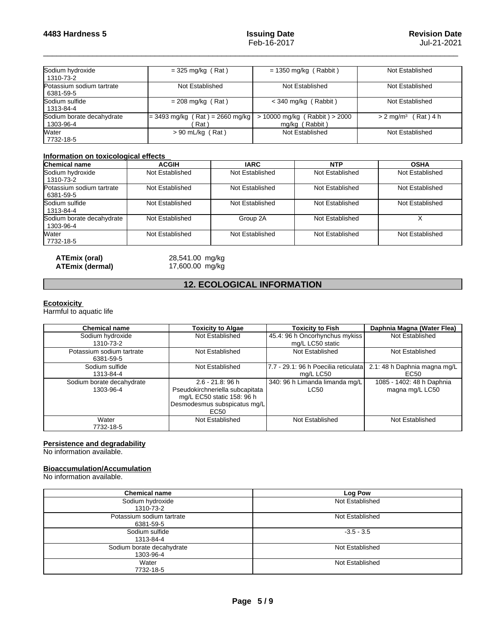| Sodium hydroxide<br>1310-73-2          | $=$ 325 mg/kg (Rat)                        | $= 1350$ mg/kg (Rabbit)                             | Not Established                   |
|----------------------------------------|--------------------------------------------|-----------------------------------------------------|-----------------------------------|
| Potassium sodium tartrate<br>6381-59-5 | Not Established                            | Not Established                                     | Not Established                   |
| <b>S</b> odium sulfide<br>1313-84-4    | $= 208$ mg/kg (Rat)                        | $<$ 340 mg/kg (Rabbit)                              | Not Established                   |
| Sodium borate decahydrate<br>1303-96-4 | $= 3493$ mg/kg (Rat) = 2660 mg/kg<br>Rat \ | $> 10000$ mg/kg (Rabbit) $> 2000$<br>mg/kg (Rabbit) | $> 2$ mg/m <sup>3</sup> (Rat) 4 h |
| Water<br>7732-18-5                     | $> 90$ mL/kg (Rat)                         | Not Established                                     | Not Established                   |

#### **Information on toxicological effects**

| <b>Chemical name</b>                   | <b>ACGIH</b>    | <b>IARC</b>     | <b>NTP</b>      | <b>OSHA</b>     |
|----------------------------------------|-----------------|-----------------|-----------------|-----------------|
| Sodium hydroxide<br>1310-73-2          | Not Established | Not Established | Not Established | Not Established |
| Potassium sodium tartrate<br>6381-59-5 | Not Established | Not Established | Not Established | Not Established |
| Sodium sulfide<br>1313-84-4            | Not Established | Not Established | Not Established | Not Established |
| Sodium borate decahydrate<br>1303-96-4 | Not Established | Group 2A        | Not Established |                 |
| Water<br>7732-18-5                     | Not Established | Not Established | Not Established | Not Established |

**ATEmix** (dermal)

**ATEmix (oral)** 28,541.00 mg/kg<br>**ATEmix (dermal)** 17,600.00 mg/kg

## **12. ECOLOGICAL INFORMATION**

## **Ecotoxicity**

Harmful to aquatic life

| <b>Chemical name</b>                   | <b>Toxicity to Algae</b>                                                                                                                 | <b>Toxicity to Fish</b>                             | Daphnia Magna (Water Flea)                   |
|----------------------------------------|------------------------------------------------------------------------------------------------------------------------------------------|-----------------------------------------------------|----------------------------------------------|
| Sodium hydroxide<br>1310-73-2          | Not Established                                                                                                                          | 45.4: 96 h Oncorhynchus mykiss<br>mg/L LC50 static  | Not Established                              |
| Potassium sodium tartrate<br>6381-59-5 | Not Established                                                                                                                          | Not Established                                     | Not Established                              |
| Sodium sulfide<br>1313-84-4            | Not Established                                                                                                                          | 17.7 - 29.1: 96 h Poecilia reticulatal<br>mg/L LC50 | 2.1: 48 h Daphnia magna mg/L<br>EC50         |
| Sodium borate decahydrate<br>1303-96-4 | $2.6 - 21.8$ : 96 h<br>Pseudokirchneriella subcapitata<br>mg/L EC50 static 158: 96 h<br>Desmodesmus subspicatus mg/L<br>EC <sub>50</sub> | 340: 96 h Limanda limanda mg/L<br>LC50              | 1085 - 1402: 48 h Daphnia<br>magna mg/L LC50 |
| Water<br>7732-18-5                     | Not Established                                                                                                                          | Not Established                                     | Not Established                              |

## **Persistence and degradability**

No information available.

## **Bioaccumulation/Accumulation**

No information available.

| <b>Chemical name</b>                   | Log Pow         |
|----------------------------------------|-----------------|
| Sodium hydroxide<br>1310-73-2          | Not Established |
| Potassium sodium tartrate<br>6381-59-5 | Not Established |
| Sodium sulfide<br>1313-84-4            | $-3.5 - 3.5$    |
| Sodium borate decahydrate<br>1303-96-4 | Not Established |
| Water<br>7732-18-5                     | Not Established |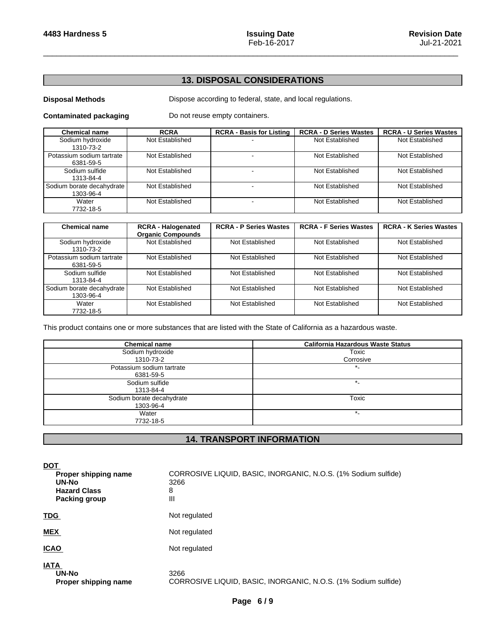## **13. DISPOSAL CONSIDERATIONS**

**Disposal Methods** Dispose according to federal, state, and local regulations.

**Contaminated packaging** Do not reuse empty containers.

| <b>Chemical name</b>                   | <b>RCRA</b>     | <b>RCRA - Basis for Listing</b> | <b>RCRA - D Series Wastes</b> | <b>RCRA - U Series Wastes</b> |
|----------------------------------------|-----------------|---------------------------------|-------------------------------|-------------------------------|
| Sodium hydroxide<br>1310-73-2          | Not Established |                                 | Not Established               | Not Established               |
| Potassium sodium tartrate<br>6381-59-5 | Not Established |                                 | Not Established               | Not Established               |
| Sodium sulfide<br>1313-84-4            | Not Established |                                 | Not Established               | Not Established               |
| Sodium borate decahydrate<br>1303-96-4 | Not Established |                                 | Not Established               | Not Established               |
| Water<br>7732-18-5                     | Not Established |                                 | Not Established               | Not Established               |

| <b>Chemical name</b>                   | <b>RCRA - Halogenated</b><br><b>Organic Compounds</b> | <b>RCRA - P Series Wastes</b> | <b>RCRA - F Series Wastes</b> | <b>RCRA - K Series Wastes</b> |
|----------------------------------------|-------------------------------------------------------|-------------------------------|-------------------------------|-------------------------------|
| Sodium hydroxide<br>1310-73-2          | Not Established                                       | Not Established               | Not Established               | Not Established               |
| Potassium sodium tartrate<br>6381-59-5 | Not Established                                       | Not Established               | Not Established               | Not Established               |
| Sodium sulfide<br>1313-84-4            | Not Established                                       | Not Established               | Not Established               | Not Established               |
| Sodium borate decahydrate<br>1303-96-4 | Not Established                                       | Not Established               | Not Established               | Not Established               |
| Water<br>7732-18-5                     | Not Established                                       | Not Established               | Not Established               | Not Established               |

This product contains one or more substances that are listed with the State of California as a hazardous waste.

| <b>Chemical name</b>      | <b>California Hazardous Waste Status</b> |
|---------------------------|------------------------------------------|
| Sodium hydroxide          | Toxic                                    |
| 1310-73-2                 | Corrosive                                |
| Potassium sodium tartrate | $^{\star}$                               |
| 6381-59-5                 |                                          |
| Sodium sulfide            | $\ast$                                   |
| 1313-84-4                 |                                          |
| Sodium borate decahydrate | Toxic                                    |
| 1303-96-4                 |                                          |
| Water                     | $\ast$                                   |
| 7732-18-5                 |                                          |

## **14. TRANSPORT INFORMATION**

| <b>DOT</b><br>Proper shipping name<br>UN-No<br><b>Hazard Class</b><br><b>Packing group</b> | CORROSIVE LIQUID, BASIC, INORGANIC, N.O.S. (1% Sodium sulfide)<br>3266<br>8<br>$\mathsf{III}$ |
|--------------------------------------------------------------------------------------------|-----------------------------------------------------------------------------------------------|
| <b>TDG</b>                                                                                 | Not regulated                                                                                 |
| <b>MEX</b>                                                                                 | Not regulated                                                                                 |
| <b>ICAO</b>                                                                                | Not regulated                                                                                 |
| <b>IATA</b><br>UN-No<br>Proper shipping name                                               | 3266<br>CORROSIVE LIQUID, BASIC, INORGANIC, N.O.S. (1% Sodium sulfide)                        |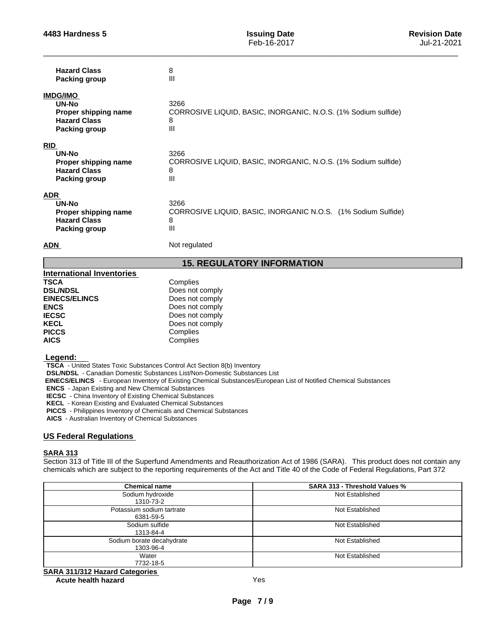| <b>Hazard Class</b><br><b>Packing group</b>                                                | 8<br>Ш                                                                             |
|--------------------------------------------------------------------------------------------|------------------------------------------------------------------------------------|
| <b>IMDG/IMO</b><br>UN-No<br>Proper shipping name<br><b>Hazard Class</b><br>Packing group   | 3266<br>CORROSIVE LIQUID, BASIC, INORGANIC, N.O.S. (1% Sodium sulfide)<br>8<br>Ш   |
| <b>RID</b><br>UN-No<br>Proper shipping name<br><b>Hazard Class</b><br>Packing group        | 3266<br>CORROSIVE LIQUID, BASIC, INORGANIC, N.O.S. (1% Sodium sulfide)<br>8<br>III |
| <b>ADR</b><br><b>UN-No</b><br>Proper shipping name<br><b>Hazard Class</b><br>Packing group | 3266<br>CORROSIVE LIQUID, BASIC, INORGANIC N.O.S. (1% Sodium Sulfide)<br>8<br>III  |
| <b>ADN</b>                                                                                 | Not regulated                                                                      |

## **15. REGULATORY INFORMATION**

| <b>International Inventories</b> |                 |
|----------------------------------|-----------------|
| TSCA                             | Complies        |
| <b>DSL/NDSL</b>                  | Does not comply |
| <b>EINECS/ELINCS</b>             | Does not comply |
| <b>ENCS</b>                      | Does not comply |
| <b>IECSC</b>                     | Does not comply |
| KECL                             | Does not comply |
| <b>PICCS</b>                     | Complies        |
| <b>AICS</b>                      | Complies        |
|                                  |                 |

#### **Legend:**

**TSCA** - United States Toxic Substances Control Act Section 8(b) Inventory

**DSL/NDSL** - Canadian Domestic Substances List/Non-Domestic Substances List

 **EINECS/ELINCS** - European Inventory of Existing Chemical Substances/European List of Notified Chemical Substances

**ENCS** - Japan Existing and New Chemical Substances

**IECSC** - China Inventory of Existing Chemical Substances

**KECL** - Korean Existing and Evaluated Chemical Substances

**PICCS** - Philippines Inventory of Chemicals and Chemical Substances

**AICS** - Australian Inventory of Chemical Substances

## **US Federal Regulations**

#### **SARA 313**

Section 313 of Title III of the Superfund Amendments and Reauthorization Act of 1986 (SARA). This product does not contain any chemicals which are subject to the reporting requirements of the Act and Title 40 of the Code of Federal Regulations, Part 372

| <b>Chemical name</b>                   | <b>SARA 313 - Threshold Values %</b> |
|----------------------------------------|--------------------------------------|
| Sodium hydroxide<br>1310-73-2          | Not Established                      |
|                                        |                                      |
| Potassium sodium tartrate<br>6381-59-5 | Not Established                      |
| Sodium sulfide<br>1313-84-4            | Not Established                      |
|                                        |                                      |
| Sodium borate decahydrate<br>1303-96-4 | Not Established                      |
| Water                                  | Not Established                      |
| 7732-18-5                              |                                      |
|                                        |                                      |

## **SARA 311/312 Hazard Categories**

**Acute health hazard** Yes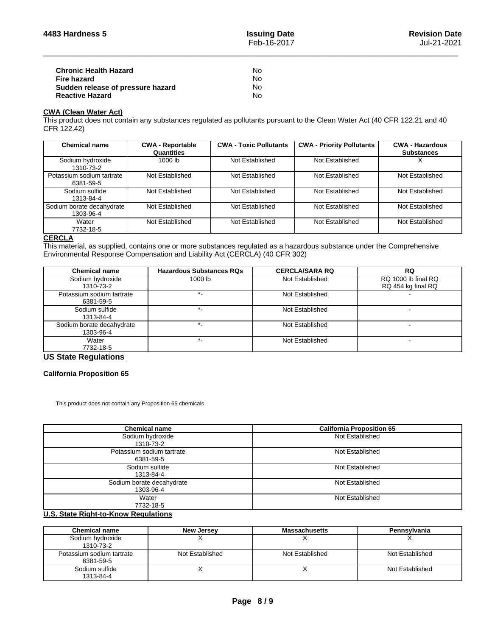| <b>Chronic Health Hazard</b>      | Nο |
|-----------------------------------|----|
| Fire hazard                       | N٥ |
| Sudden release of pressure hazard | N٥ |
| <b>Reactive Hazard</b>            | Nο |

## **CWA (Clean WaterAct)**

This product does not contain any substances regulated as pollutants pursuant to the Clean Water Act (40 CFR 122.21 and 40 CFR 122.42)

| <b>Chemical name</b>                   | <b>CWA - Reportable</b><br>Quantities | <b>CWA - Toxic Pollutants</b> | <b>CWA - Priority Pollutants</b> | <b>CWA - Hazardous</b><br><b>Substances</b> |
|----------------------------------------|---------------------------------------|-------------------------------|----------------------------------|---------------------------------------------|
| Sodium hydroxide<br>1310-73-2          | 1000 lb                               | Not Established               | Not Established                  |                                             |
| Potassium sodium tartrate<br>6381-59-5 | Not Established                       | Not Established               | Not Established                  | Not Established                             |
| Sodium sulfide<br>1313-84-4            | Not Established                       | Not Established               | Not Established                  | Not Established                             |
| Sodium borate decahydrate<br>1303-96-4 | Not Established                       | Not Established               | Not Established                  | Not Established                             |
| Water<br>7732-18-5                     | Not Established                       | Not Established               | Not Established                  | Not Established                             |

#### **CERCLA**

This material, as supplied, contains one or more substances regulated as a hazardous substance under the Comprehensive Environmental Response Compensation and Liability Act (CERCLA) (40 CFR 302)

| <b>Chemical name</b>                   | <b>Hazardous Substances RQs</b> | <b>CERCLA/SARA RQ</b> | <b>RQ</b>                                 |
|----------------------------------------|---------------------------------|-----------------------|-------------------------------------------|
| Sodium hydroxide<br>1310-73-2          | 1000 lb                         | Not Established       | RQ 1000 lb final RQ<br>RQ 454 kg final RQ |
| Potassium sodium tartrate<br>6381-59-5 |                                 | Not Established       |                                           |
| Sodium sulfide<br>1313-84-4            |                                 | Not Established       |                                           |
| Sodium borate decahydrate<br>1303-96-4 |                                 | Not Established       |                                           |
| Water<br>7732-18-5                     |                                 | Not Established       |                                           |

## **US State Regulations**

## **California Proposition 65**

This product does not contain any Proposition 65 chemicals

| <b>Chemical name</b>                   | <b>California Proposition 65</b> |
|----------------------------------------|----------------------------------|
| Sodium hydroxide<br>1310-73-2          | Not Established                  |
| Potassium sodium tartrate<br>6381-59-5 | Not Established                  |
| Sodium sulfide<br>1313-84-4            | Not Established                  |
| Sodium borate decahydrate<br>1303-96-4 | Not Established                  |
| Water<br>7732-18-5<br>.                | Not Established                  |

## **U.S. State Right-to-Know Regulations**

| Chemical name             | <b>New Jersey</b> | <b>Massachusetts</b> | Pennsylvania    |
|---------------------------|-------------------|----------------------|-----------------|
| Sodium hydroxide          |                   |                      |                 |
| 1310-73-2                 |                   |                      |                 |
| Potassium sodium tartrate | Not Established   | Not Established      | Not Established |
| 6381-59-5                 |                   |                      |                 |
| Sodium sulfide            |                   |                      | Not Established |
| 1313-84-4                 |                   |                      |                 |